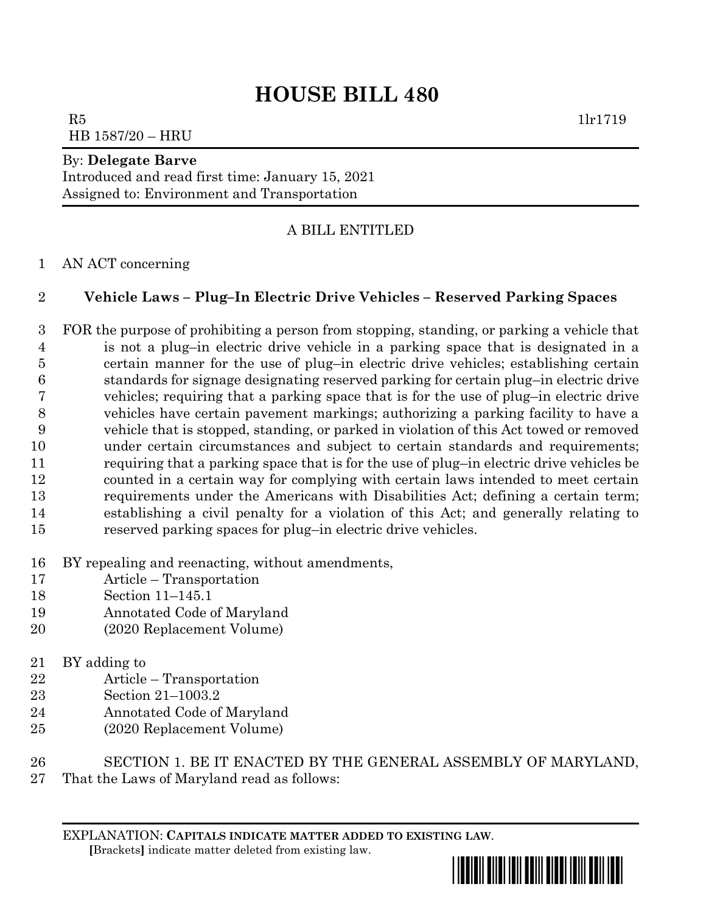## **HOUSE BILL 480**

 $R5$  1lr1719 HB 1587/20 – HRU

## By: **Delegate Barve**

Introduced and read first time: January 15, 2021 Assigned to: Environment and Transportation

## A BILL ENTITLED

AN ACT concerning

## **Vehicle Laws – Plug–In Electric Drive Vehicles – Reserved Parking Spaces**

 FOR the purpose of prohibiting a person from stopping, standing, or parking a vehicle that is not a plug–in electric drive vehicle in a parking space that is designated in a certain manner for the use of plug–in electric drive vehicles; establishing certain standards for signage designating reserved parking for certain plug–in electric drive vehicles; requiring that a parking space that is for the use of plug–in electric drive vehicles have certain pavement markings; authorizing a parking facility to have a vehicle that is stopped, standing, or parked in violation of this Act towed or removed under certain circumstances and subject to certain standards and requirements; requiring that a parking space that is for the use of plug–in electric drive vehicles be counted in a certain way for complying with certain laws intended to meet certain requirements under the Americans with Disabilities Act; defining a certain term; establishing a civil penalty for a violation of this Act; and generally relating to reserved parking spaces for plug–in electric drive vehicles.

- BY repealing and reenacting, without amendments,
- Article Transportation
- Section 11–145.1
- Annotated Code of Maryland
- (2020 Replacement Volume)
- BY adding to
- Article Transportation
- Section 21–1003.2
- Annotated Code of Maryland
- (2020 Replacement Volume)
- SECTION 1. BE IT ENACTED BY THE GENERAL ASSEMBLY OF MARYLAND,
- That the Laws of Maryland read as follows:

EXPLANATION: **CAPITALS INDICATE MATTER ADDED TO EXISTING LAW**.  **[**Brackets**]** indicate matter deleted from existing law.

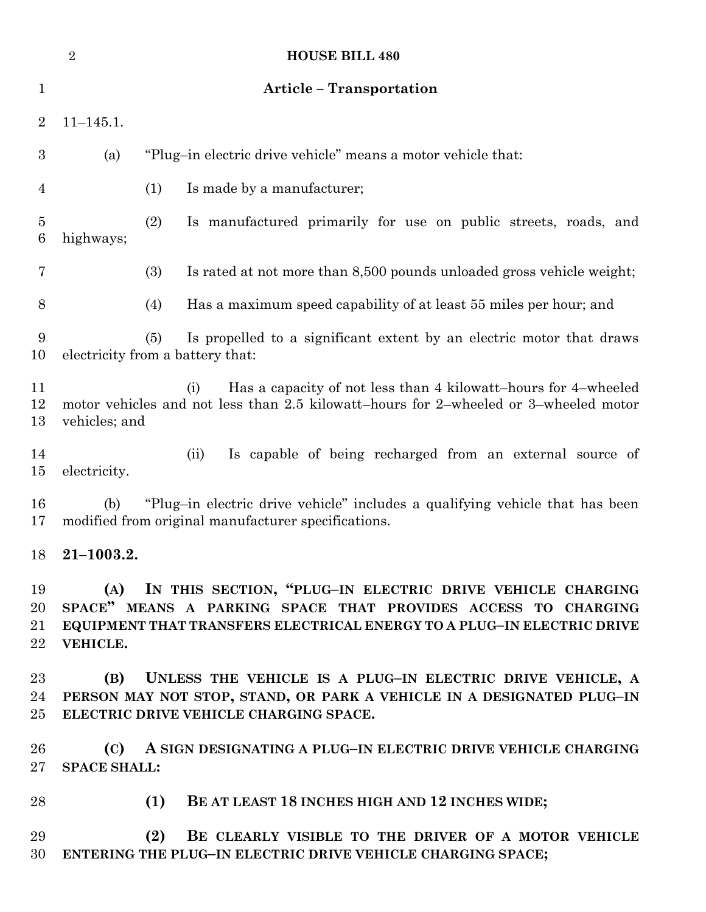|                                   | $\overline{2}$                                                                                                                                                                                                          | <b>HOUSE BILL 480</b>                                                                                                               |
|-----------------------------------|-------------------------------------------------------------------------------------------------------------------------------------------------------------------------------------------------------------------------|-------------------------------------------------------------------------------------------------------------------------------------|
| $\mathbf 1$                       |                                                                                                                                                                                                                         | <b>Article - Transportation</b>                                                                                                     |
| $\overline{2}$                    | $11 - 145.1.$                                                                                                                                                                                                           |                                                                                                                                     |
| $\boldsymbol{3}$                  | (a)                                                                                                                                                                                                                     | "Plug-in electric drive vehicle" means a motor vehicle that:                                                                        |
| $\overline{4}$                    |                                                                                                                                                                                                                         | (1)<br>Is made by a manufacturer;                                                                                                   |
| $\overline{5}$<br>$6\phantom{.}6$ | highways;                                                                                                                                                                                                               | (2)<br>Is manufactured primarily for use on public streets, roads, and                                                              |
| 7                                 |                                                                                                                                                                                                                         | (3)<br>Is rated at not more than 8,500 pounds unloaded gross vehicle weight;                                                        |
| 8                                 |                                                                                                                                                                                                                         | Has a maximum speed capability of at least 55 miles per hour; and<br>(4)                                                            |
| 9<br>10                           |                                                                                                                                                                                                                         | Is propelled to a significant extent by an electric motor that draws<br>(5)<br>electricity from a battery that:                     |
| 11<br>12<br>13                    | Has a capacity of not less than 4 kilowatt-hours for 4-wheeled<br>(i)<br>motor vehicles and not less than 2.5 kilowatt-hours for 2-wheeled or 3-wheeled motor<br>vehicles; and                                          |                                                                                                                                     |
| 14<br>$15\,$                      | electricity.                                                                                                                                                                                                            | Is capable of being recharged from an external source of<br>(ii)                                                                    |
| 16<br>17                          | (b)                                                                                                                                                                                                                     | "Plug-in electric drive vehicle" includes a qualifying vehicle that has been<br>modified from original manufacturer specifications. |
| 18                                | $21 - 1003.2.$                                                                                                                                                                                                          |                                                                                                                                     |
| 19<br>20<br>21<br>22              | IN THIS SECTION, "PLUG-IN ELECTRIC DRIVE VEHICLE CHARGING<br>(A)<br>SPACE" MEANS A PARKING SPACE THAT PROVIDES ACCESS TO CHARGING<br>EQUIPMENT THAT TRANSFERS ELECTRICAL ENERGY TO A PLUG-IN ELECTRIC DRIVE<br>VEHICLE. |                                                                                                                                     |
| $23\,$<br>24<br>$25\,$            | UNLESS THE VEHICLE IS A PLUG-IN ELECTRIC DRIVE VEHICLE, A<br>(B)<br>PERSON MAY NOT STOP, STAND, OR PARK A VEHICLE IN A DESIGNATED PLUG-IN<br>ELECTRIC DRIVE VEHICLE CHARGING SPACE.                                     |                                                                                                                                     |
| 26<br>$27\,$                      | (C)<br><b>SPACE SHALL:</b>                                                                                                                                                                                              | A SIGN DESIGNATING A PLUG-IN ELECTRIC DRIVE VEHICLE CHARGING                                                                        |
| 28                                |                                                                                                                                                                                                                         | BE AT LEAST 18 INCHES HIGH AND 12 INCHES WIDE;<br>(1)                                                                               |
| 29<br>30                          |                                                                                                                                                                                                                         | (2)<br>BE CLEARLY VISIBLE TO THE DRIVER OF A MOTOR VEHICLE<br>ENTERING THE PLUG-IN ELECTRIC DRIVE VEHICLE CHARGING SPACE;           |